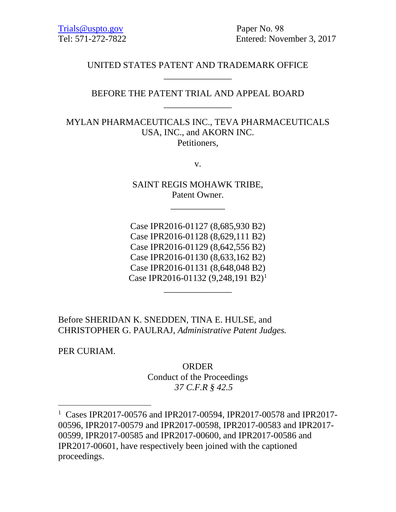Paper No. 98 Entered: November 3, 2017

# UNITED STATES PATENT AND TRADEMARK OFFICE \_\_\_\_\_\_\_\_\_\_\_\_\_\_\_

## BEFORE THE PATENT TRIAL AND APPEAL BOARD \_\_\_\_\_\_\_\_\_\_\_\_\_\_\_

MYLAN PHARMACEUTICALS INC., TEVA PHARMACEUTICALS USA, INC., and AKORN INC. Petitioners,

v.

SAINT REGIS MOHAWK TRIBE, Patent Owner.

\_\_\_\_\_\_\_\_\_\_\_\_

Case IPR2016-01127 (8,685,930 B2) Case IPR2016-01128 (8,629,111 B2) Case IPR2016-01129 (8,642,556 B2) Case IPR2016-01130 (8,633,162 B2) Case IPR2016-01131 (8,648,048 B2) Case IPR2016-01132 (9,248,191 B2)<sup>1</sup>

\_\_\_\_\_\_\_\_\_\_\_\_\_\_\_

Before SHERIDAN K. SNEDDEN, TINA E. HULSE, and CHRISTOPHER G. PAULRAJ, *Administrative Patent Judges.*

PER CURIAM.

**ORDER** 

Conduct of the Proceedings *37 C.F.R § 42.5* 

<span id="page-0-0"></span><sup>1</sup> Cases IPR2017-00576 and IPR2017-00594, IPR2017-00578 and IPR2017- 00596, IPR2017-00579 and IPR2017-00598, IPR2017-00583 and IPR2017- 00599, IPR2017-00585 and IPR2017-00600, and IPR2017-00586 and IPR2017-00601, have respectively been joined with the captioned proceedings.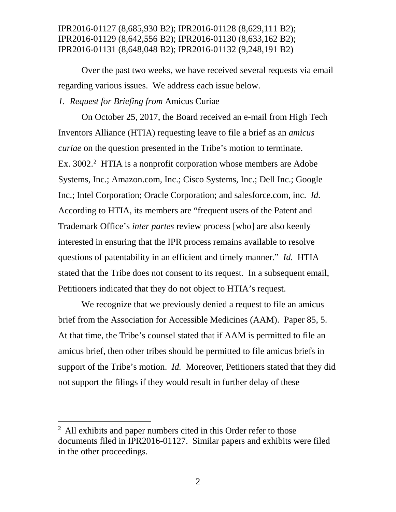Over the past two weeks, we have received several requests via email regarding various issues. We address each issue below.

### *1. Request for Briefing from* Amicus Curiae

On October 25, 2017, the Board received an e-mail from High Tech Inventors Alliance (HTIA) requesting leave to file a brief as an *amicus curiae* on the question presented in the Tribe's motion to terminate. Ex. 300[2](#page-1-0).<sup>2</sup> HTIA is a nonprofit corporation whose members are Adobe Systems, Inc.; Amazon.com, Inc.; Cisco Systems, Inc.; Dell Inc.; Google Inc.; Intel Corporation; Oracle Corporation; and salesforce.com, inc. *Id.* According to HTIA, its members are "frequent users of the Patent and Trademark Office's *inter partes* review process [who] are also keenly interested in ensuring that the IPR process remains available to resolve questions of patentability in an efficient and timely manner." *Id.* HTIA stated that the Tribe does not consent to its request. In a subsequent email, Petitioners indicated that they do not object to HTIA's request.

We recognize that we previously denied a request to file an amicus brief from the Association for Accessible Medicines (AAM). Paper 85, 5. At that time, the Tribe's counsel stated that if AAM is permitted to file an amicus brief, then other tribes should be permitted to file amicus briefs in support of the Tribe's motion. *Id.* Moreover, Petitioners stated that they did not support the filings if they would result in further delay of these

<span id="page-1-0"></span> $<sup>2</sup>$  All exhibits and paper numbers cited in this Order refer to those</sup> documents filed in IPR2016-01127. Similar papers and exhibits were filed in the other proceedings.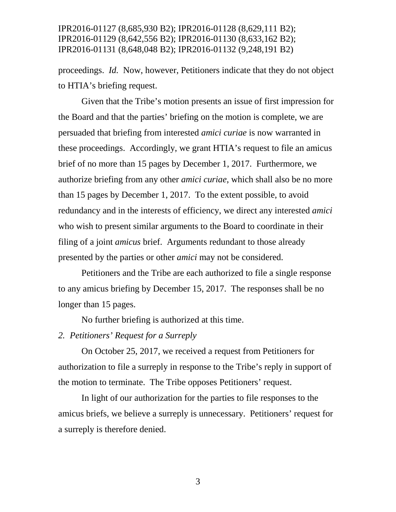proceedings. *Id.* Now, however, Petitioners indicate that they do not object to HTIA's briefing request.

Given that the Tribe's motion presents an issue of first impression for the Board and that the parties' briefing on the motion is complete, we are persuaded that briefing from interested *amici curiae* is now warranted in these proceedings. Accordingly, we grant HTIA's request to file an amicus brief of no more than 15 pages by December 1, 2017. Furthermore, we authorize briefing from any other *amici curiae*, which shall also be no more than 15 pages by December 1, 2017. To the extent possible, to avoid redundancy and in the interests of efficiency, we direct any interested *amici*  who wish to present similar arguments to the Board to coordinate in their filing of a joint *amicus* brief. Arguments redundant to those already presented by the parties or other *amici* may not be considered.

Petitioners and the Tribe are each authorized to file a single response to any amicus briefing by December 15, 2017. The responses shall be no longer than 15 pages.

No further briefing is authorized at this time.

### *2. Petitioners' Request for a Surreply*

On October 25, 2017, we received a request from Petitioners for authorization to file a surreply in response to the Tribe's reply in support of the motion to terminate. The Tribe opposes Petitioners' request.

In light of our authorization for the parties to file responses to the amicus briefs, we believe a surreply is unnecessary. Petitioners' request for a surreply is therefore denied.

3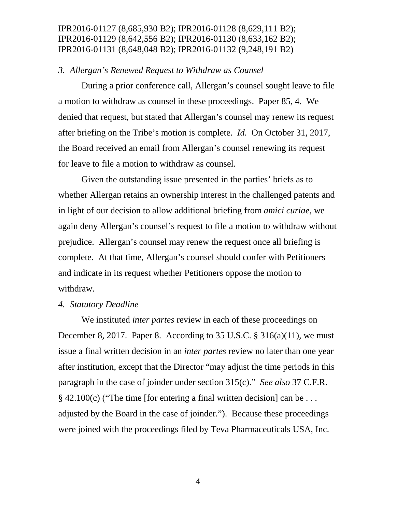### *3. Allergan's Renewed Request to Withdraw as Counsel*

During a prior conference call, Allergan's counsel sought leave to file a motion to withdraw as counsel in these proceedings. Paper 85, 4. We denied that request, but stated that Allergan's counsel may renew its request after briefing on the Tribe's motion is complete. *Id.* On October 31, 2017, the Board received an email from Allergan's counsel renewing its request for leave to file a motion to withdraw as counsel.

Given the outstanding issue presented in the parties' briefs as to whether Allergan retains an ownership interest in the challenged patents and in light of our decision to allow additional briefing from *amici curiae*, we again deny Allergan's counsel's request to file a motion to withdraw without prejudice. Allergan's counsel may renew the request once all briefing is complete. At that time, Allergan's counsel should confer with Petitioners and indicate in its request whether Petitioners oppose the motion to withdraw.

#### *4. Statutory Deadline*

We instituted *inter partes* review in each of these proceedings on December 8, 2017. Paper 8. According to 35 U.S.C.  $\S$  316(a)(11), we must issue a final written decision in an *inter partes* review no later than one year after institution, except that the Director "may adjust the time periods in this paragraph in the case of joinder under section 315(c)." *See also* 37 C.F.R.  $\S$  42.100(c) ("The time [for entering a final written decision] can be ... adjusted by the Board in the case of joinder."). Because these proceedings were joined with the proceedings filed by Teva Pharmaceuticals USA, Inc.

4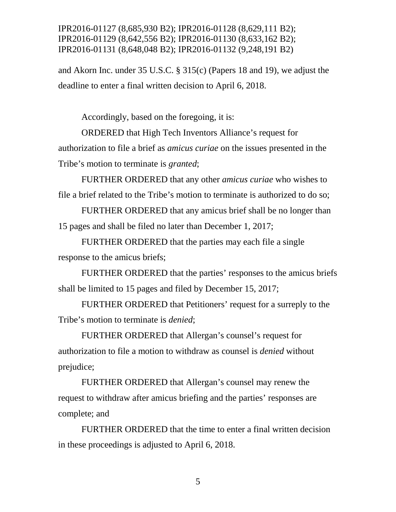and Akorn Inc. under 35 U.S.C. § 315(c) (Papers 18 and 19), we adjust the deadline to enter a final written decision to April 6, 2018.

Accordingly, based on the foregoing, it is:

ORDERED that High Tech Inventors Alliance's request for authorization to file a brief as *amicus curiae* on the issues presented in the Tribe's motion to terminate is *granted*;

FURTHER ORDERED that any other *amicus curiae* who wishes to file a brief related to the Tribe's motion to terminate is authorized to do so;

FURTHER ORDERED that any amicus brief shall be no longer than 15 pages and shall be filed no later than December 1, 2017;

FURTHER ORDERED that the parties may each file a single response to the amicus briefs;

FURTHER ORDERED that the parties' responses to the amicus briefs shall be limited to 15 pages and filed by December 15, 2017;

FURTHER ORDERED that Petitioners' request for a surreply to the Tribe's motion to terminate is *denied*;

FURTHER ORDERED that Allergan's counsel's request for authorization to file a motion to withdraw as counsel is *denied* without prejudice;

FURTHER ORDERED that Allergan's counsel may renew the request to withdraw after amicus briefing and the parties' responses are complete; and

FURTHER ORDERED that the time to enter a final written decision in these proceedings is adjusted to April 6, 2018.

5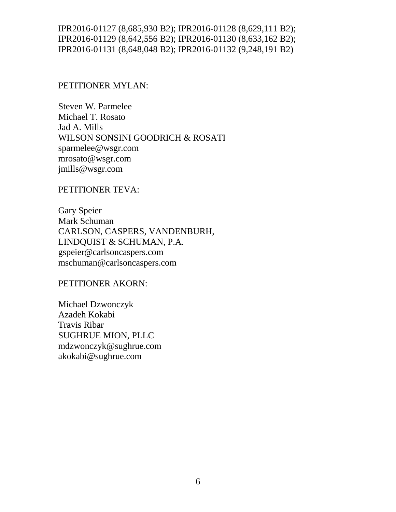### PETITIONER MYLAN:

Steven W. Parmelee Michael T. Rosato Jad A. Mills WILSON SONSINI GOODRICH & ROSATI sparmelee@wsgr.com mrosato@wsgr.com jmills@wsgr.com

PETITIONER TEVA:

Gary Speier Mark Schuman CARLSON, CASPERS, VANDENBURH, LINDQUIST & SCHUMAN, P.A. gspeier@carlsoncaspers.com mschuman@carlsoncaspers.com

PETITIONER AKORN:

Michael Dzwonczyk Azadeh Kokabi Travis Ribar SUGHRUE MION, PLLC mdzwonczyk@sughrue.com akokabi@sughrue.com